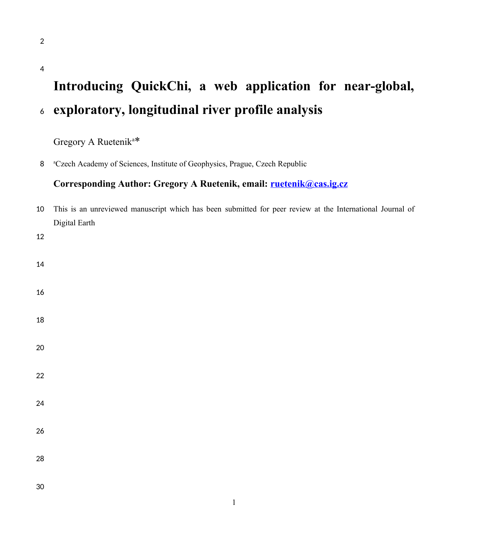# **Introducing QuickChi, a web application for near-global, exploratory, longitudinal river profile analysis**

Gregory A Ruetenik<sup>a</sup>\*

8 <sup>a</sup>Czech Academy of Sciences, Institute of Geophysics, Prague, Czech Republic

# **Corresponding Author: Gregory A Ruetenik, email: [ruetenik@cas.ig.cz](mailto:ruetenik@cas.ig.cz)**

| $10\,$     | This is an unreviewed manuscript which has been submitted for peer review at the International Journal of |  |  |  |  |
|------------|-----------------------------------------------------------------------------------------------------------|--|--|--|--|
|            | Digital Earth                                                                                             |  |  |  |  |
| $12\,$     |                                                                                                           |  |  |  |  |
| $14\,$     |                                                                                                           |  |  |  |  |
| $16\,$     |                                                                                                           |  |  |  |  |
| $18\,$     |                                                                                                           |  |  |  |  |
| $20\,$     |                                                                                                           |  |  |  |  |
| $22\,$     |                                                                                                           |  |  |  |  |
| 24         |                                                                                                           |  |  |  |  |
| ${\bf 26}$ |                                                                                                           |  |  |  |  |
| ${\bf 28}$ |                                                                                                           |  |  |  |  |
| $30\,$     |                                                                                                           |  |  |  |  |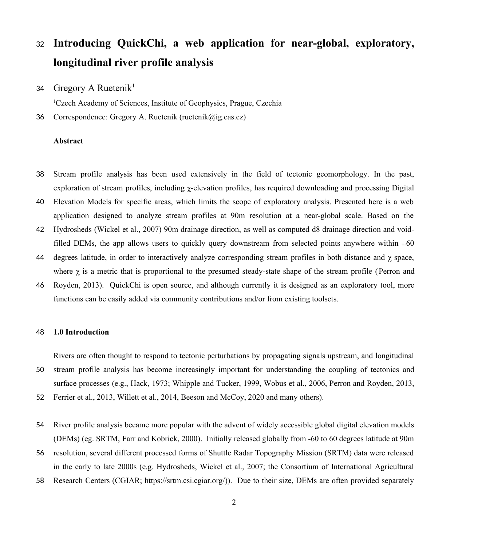# **Introducing QuickChi, a web application for near-global, exploratory, longitudinal river profile analysis** 32

Gregory A Ruetenik<sup>1</sup> 34

<sup>1</sup>Czech Academy of Sciences, Institute of Geophysics, Prague, Czechia

Correspondence: Gregory A. Ruetenik (ruetenik@ig.cas.cz) 36

### **Abstract**

- Stream profile analysis has been used extensively in the field of tectonic geomorphology. In the past, exploration of stream profiles, including χ-elevation profiles, has required downloading and processing Digital 38
- Elevation Models for specific areas, which limits the scope of exploratory analysis. Presented here is a web application designed to analyze stream profiles at 90m resolution at a near-global scale. Based on the 40
- Hydrosheds (Wickel et al., 2007) 90m drainage direction, as well as computed d8 drainage direction and voidfilled DEMs, the app allows users to quickly query downstream from selected points anywhere within  $\pm 60$ 42
- degrees latitude, in order to interactively analyze corresponding stream profiles in both distance and χ space, where  $\chi$  is a metric that is proportional to the presumed steady-state shape of the stream profile (Perron and 44
- Royden, 2013). QuickChi is open source, and although currently it is designed as an exploratory tool, more functions can be easily added via community contributions and/or from existing toolsets. 46

#### **1.0 Introduction** 48

Rivers are often thought to respond to tectonic perturbations by propagating signals upstream, and longitudinal

- stream profile analysis has become increasingly important for understanding the coupling of tectonics and surface processes (e.g., Hack, 1973; Whipple and Tucker, 1999, Wobus et al., 2006, Perron and Royden, 2013, 50
- Ferrier et al., 2013, Willett et al., 2014, Beeson and McCoy, 2020 and many others). 52
- River profile analysis became more popular with the advent of widely accessible global digital elevation models (DEMs) (eg. SRTM, Farr and Kobrick, 2000). Initially released globally from -60 to 60 degrees latitude at 90m 54
- resolution, several different processed forms of Shuttle Radar Topography Mission (SRTM) data were released in the early to late 2000s (e.g. Hydrosheds, Wickel et al., 2007; the Consortium of International Agricultural 56
- Research Centers (CGIAR; https://srtm.csi.cgiar.org/)). Due to their size, DEMs are often provided separately 58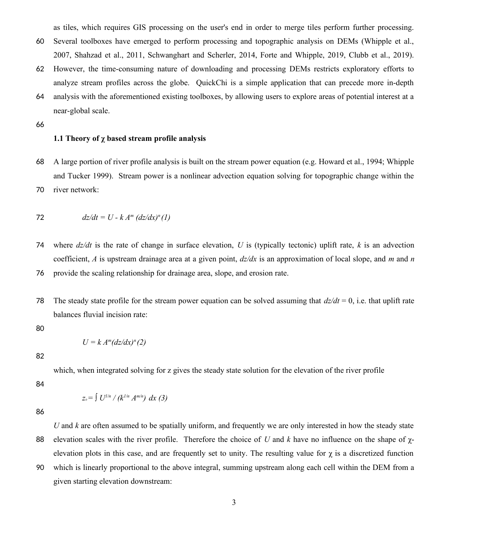as tiles, which requires GIS processing on the user's end in order to merge tiles perform further processing.

- Several toolboxes have emerged to perform processing and topographic analysis on DEMs (Whipple et al., 2007, Shahzad et al., 2011, Schwanghart and Scherler, 2014, Forte and Whipple, 2019, Clubb et al., 2019). 60
- However, the time-consuming nature of downloading and processing DEMs restricts exploratory efforts to analyze stream profiles across the globe. QuickChi is a simple application that can precede more in-depth 62
- analysis with the aforementioned existing toolboxes, by allowing users to explore areas of potential interest at a near-global scale. 64
- 66

### **1.1 Theory of χ based stream profile analysis**

A large portion of river profile analysis is built on the stream power equation (e.g. Howard et al., 1994; Whipple and Tucker 1999). Stream power is a nonlinear advection equation solving for topographic change within the river network: 68 70

$$
dz/dt = U - k Am (dz/dx)n(1)
$$

where  $dz/dt$  is the rate of change in surface elevation, U is (typically tectonic) uplift rate, k is an advection coefficient, *A* is upstream drainage area at a given point, *dz/dx* is an approximation of local slope, and *m* and *n* provide the scaling relationship for drainage area, slope, and erosion rate. 74 76

The steady state profile for the stream power equation can be solved assuming that  $dz/dt = 0$ , i.e. that uplift rate balances fluvial incision rate: 78

80

$$
U = k A^m (dz/dx)^n (2)
$$

82

which, when integrated solving for z gives the steady state solution for the elevation of the river profile

84

$$
z_o = \int U^{1/n} / (k^{1/n} A^{m/n}) dx (3)
$$

86

*U* and *k* are often assumed to be spatially uniform, and frequently we are only interested in how the steady state elevation scales with the river profile. Therefore the choice of *U* and *k* have no influence on the shape of χelevation plots in this case, and are frequently set to unity. The resulting value for  $\chi$  is a discretized function 88

which is linearly proportional to the above integral, summing upstream along each cell within the DEM from a given starting elevation downstream: 90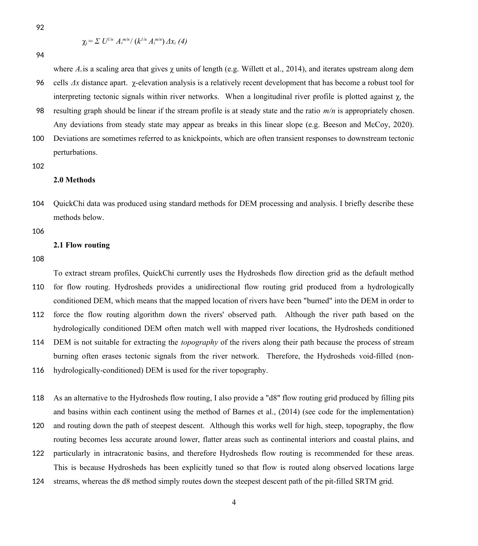92

$$
\chi_i = \Sigma U^{1/n} A_{\scriptscriptstyle 0}^{\scriptscriptstyle m/n}/(k^{1/n} A_{\scriptscriptstyle i}^{\scriptscriptstyle m/n}) \Delta x_i \ (4)
$$

94

where  $A_0$  is a scaling area that gives  $\gamma$  units of length (e.g. Willett et al., 2014), and iterates upstream along dem cells *Δx* distance apart. χ-elevation analysis is a relatively recent development that has become a robust tool for interpreting tectonic signals within river networks. When a longitudinal river profile is plotted against  $\chi$ , the 96

resulting graph should be linear if the stream profile is at steady state and the ratio *m/n* is appropriately chosen. Any deviations from steady state may appear as breaks in this linear slope (e.g. Beeson and McCoy, 2020). 98

Deviations are sometimes referred to as knickpoints, which are often transient responses to downstream tectonic perturbations. 100

102

### **2.0 Methods**

QuickChi data was produced using standard methods for DEM processing and analysis. I briefly describe these methods below. 104

106

#### **2.1 Flow routing**

108

To extract stream profiles, QuickChi currently uses the Hydrosheds flow direction grid as the default method for flow routing. Hydrosheds provides a unidirectional flow routing grid produced from a hydrologically conditioned DEM, which means that the mapped location of rivers have been "burned" into the DEM in order to 110

force the flow routing algorithm down the rivers' observed path. Although the river path based on the hydrologically conditioned DEM often match well with mapped river locations, the Hydrosheds conditioned 112

DEM is not suitable for extracting the *topography* of the rivers along their path because the process of stream burning often erases tectonic signals from the river network. Therefore, the Hydrosheds void-filled (non-114

hydrologically-conditioned) DEM is used for the river topography. 116

As an alternative to the Hydrosheds flow routing, I also provide a "d8" flow routing grid produced by filling pits and basins within each continent using the method of Barnes et al., (2014) (see code for the implementation) 118

and routing down the path of steepest descent. Although this works well for high, steep, topography, the flow routing becomes less accurate around lower, flatter areas such as continental interiors and coastal plains, and 120

- particularly in intracratonic basins, and therefore Hydrosheds flow routing is recommended for these areas. This is because Hydrosheds has been explicitly tuned so that flow is routed along observed locations large 122
- streams, whereas the d8 method simply routes down the steepest descent path of the pit-filled SRTM grid. 124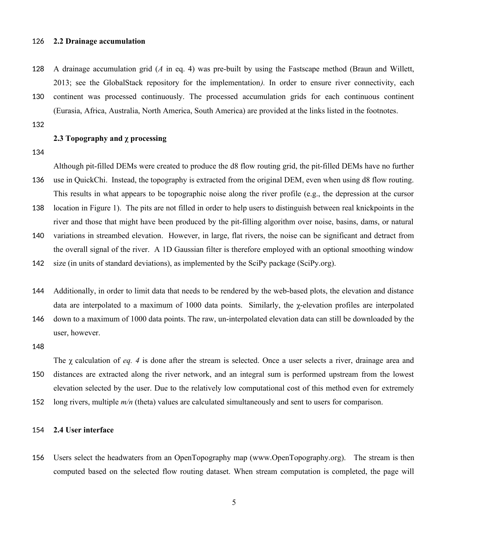#### **2.2 Drainage accumulation** 126

- A drainage accumulation grid (*A* in eq. 4) was pre-built by using the Fastscape method (Braun and Willett, 2013; see the GlobalStack repository for the implementation*).* In order to ensure river connectivity, each 128
- continent was processed continuously. The processed accumulation grids for each continuous continent (Eurasia, Africa, Australia, North America, South America) are provided at the links listed in the footnotes. 130

132

### **2.3 Topography and χ processing**

134

Although pit-filled DEMs were created to produce the d8 flow routing grid, the pit-filled DEMs have no further use in QuickChi. Instead, the topography is extracted from the original DEM, even when using d8 flow routing. This results in what appears to be topographic noise along the river profile (e.g., the depression at the cursor 136

location in Figure 1). The pits are not filled in order to help users to distinguish between real knickpoints in the river and those that might have been produced by the pit-filling algorithm over noise, basins, dams, or natural 138

variations in streambed elevation. However, in large, flat rivers, the noise can be significant and detract from the overall signal of the river. A 1D Gaussian filter is therefore employed with an optional smoothing window 140

size (in units of standard deviations), as implemented by the SciPy package (SciPy.org). 142

- Additionally, in order to limit data that needs to be rendered by the web-based plots, the elevation and distance data are interpolated to a maximum of 1000 data points. Similarly, the  $\chi$ -elevation profiles are interpolated 144
- down to a maximum of 1000 data points. The raw, un-interpolated elevation data can still be downloaded by the user, however. 146

148

The χ calculation of *eq. 4* is done after the stream is selected. Once a user selects a river, drainage area and distances are extracted along the river network, and an integral sum is performed upstream from the lowest elevation selected by the user. Due to the relatively low computational cost of this method even for extremely 150

long rivers, multiple  $m/n$  (theta) values are calculated simultaneously and sent to users for comparison. 152

#### **2.4 User interface** 154

Users select the headwaters from an OpenTopography map (www.OpenTopography.org). The stream is then computed based on the selected flow routing dataset. When stream computation is completed, the page will 156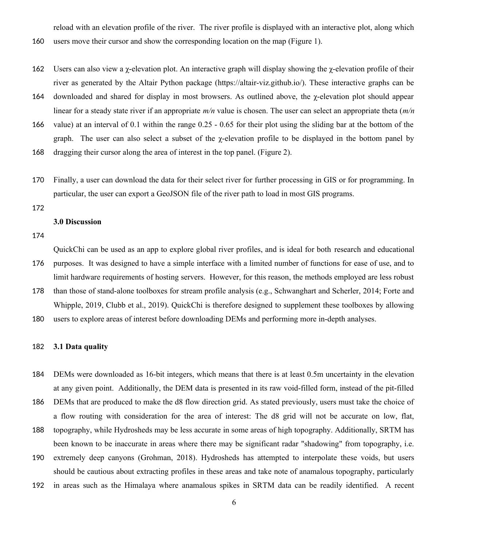reload with an elevation profile of the river. The river profile is displayed with an interactive plot, along which

- users move their cursor and show the corresponding location on the map (Figure 1). 160
- Users can also view a  $\gamma$ -elevation plot. An interactive graph will display showing the  $\gamma$ -elevation profile of their river as generated by the Altair Python package (https://altair-viz.github.io/). These interactive graphs can be 162
- downloaded and shared for display in most browsers. As outlined above, the χ-elevation plot should appear linear for a steady state river if an appropriate *m/n* value is chosen. The user can select an appropriate theta (*m/n* 164
- value) at an interval of 0.1 within the range 0.25 0.65 for their plot using the sliding bar at the bottom of the graph. The user can also select a subset of the  $\gamma$ -elevation profile to be displayed in the bottom panel by 166
- dragging their cursor along the area of interest in the top panel. (Figure 2). 168
- Finally, a user can download the data for their select river for further processing in GIS or for programming. In particular, the user can export a GeoJSON file of the river path to load in most GIS programs. 170
- 172

### **3.0 Discussion**

174

QuickChi can be used as an app to explore global river profiles, and is ideal for both research and educational purposes. It was designed to have a simple interface with a limited number of functions for ease of use, and to 176

limit hardware requirements of hosting servers. However, for this reason, the methods employed are less robust

- than those of stand-alone toolboxes for stream profile analysis (e.g., Schwanghart and Scherler, 2014; Forte and Whipple, 2019, Clubb et al., 2019). QuickChi is therefore designed to supplement these toolboxes by allowing 178
- users to explore areas of interest before downloading DEMs and performing more in-depth analyses. 180

#### **3.1 Data quality** 182

- DEMs were downloaded as 16-bit integers, which means that there is at least 0.5m uncertainty in the elevation at any given point. Additionally, the DEM data is presented in its raw void-filled form, instead of the pit-filled 184
- DEMs that are produced to make the d8 flow direction grid. As stated previously, users must take the choice of a flow routing with consideration for the area of interest: The d8 grid will not be accurate on low, flat, 186
- topography, while Hydrosheds may be less accurate in some areas of high topography. Additionally, SRTM has been known to be inaccurate in areas where there may be significant radar "shadowing" from topography, i.e. 188
- extremely deep canyons (Grohman, 2018). Hydrosheds has attempted to interpolate these voids, but users should be cautious about extracting profiles in these areas and take note of anamalous topography, particularly 190
- in areas such as the Himalaya where anamalous spikes in SRTM data can be readily identified. A recent 192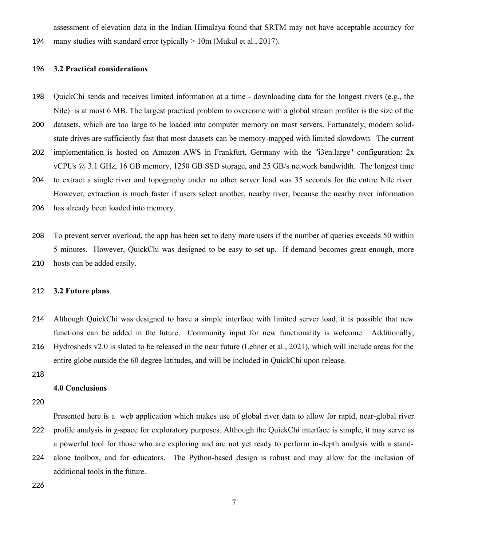assessment of elevation data in the Indian Himalaya found that SRTM may not have acceptable accuracy for

many studies with standard error typically  $> 10$ m (Mukul et al., 2017). 194

#### **3.2 Practical considerations** 196

- QuickChi sends and receives limited information at a time downloading data for the longest rivers (e.g., the Nile) is at most 6 MB. The largest practical problem to overcome with a global stream profiler is the size of the 198
- datasets, which are too large to be loaded into computer memory on most servers. Fortunately, modern solidstate drives are sufficiently fast that most datasets can be memory-mapped with limited slowdown. The current 200
- implementation is hosted on Amazon AWS in Frankfurt, Germany with the "i3en.large" configuration: 2x vCPUs @ 3.1 GHz, 16 GB memory, 1250 GB SSD storage, and 25 GB/s network bandwidth. The longest time 202
- to extract a single river and topography under no other server load was 35 seconds for the entire Nile river. However, extraction is much faster if users select another, nearby river, because the nearby river information 204
- has already been loaded into memory. 206
- To prevent server overload, the app has been set to deny more users if the number of queries exceeds 50 within 5 minutes. However, QuickChi was designed to be easy to set up. If demand becomes great enough, more hosts can be added easily. 208 210

#### **3.2 Future plans** 212

- Although QuickChi was designed to have a simple interface with limited server load, it is possible that new functions can be added in the future. Community input for new functionality is welcome. Additionally, Hydrosheds v2.0 is slated to be released in the near future (Lehner et al., 2021), which will include areas for the 214 216
- entire globe outside the 60 degree latitudes, and will be included in QuickChi upon release.
- 218

### **4.0 Conclusions**

220

Presented here is a web application which makes use of global river data to allow for rapid, near-global river profile analysis in  $\gamma$ -space for exploratory purposes. Although the QuickChi interface is simple, it may serve as a powerful tool for those who are exploring and are not yet ready to perform in-depth analysis with a standalone toolbox, and for educators. The Python-based design is robust and may allow for the inclusion of 222 224

additional tools in the future.

226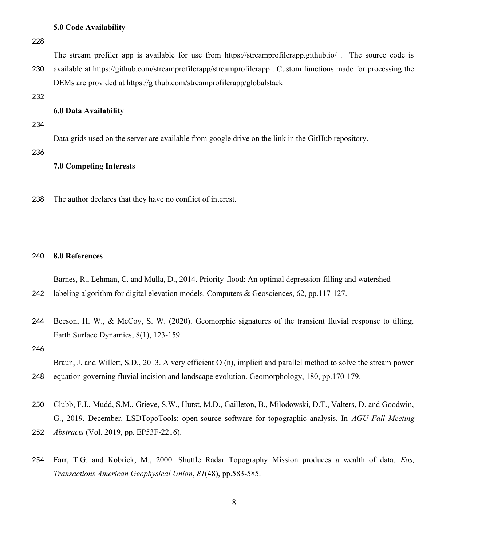### **5.0 Code Availability**

228

The stream profiler app is available for use from https://streamprofilerapp.github.io/ . The source code is

available at https://github.com/streamprofilerapp/streamprofilerapp . Custom functions made for processing the DEMs are provided at https://github.com/streamprofilerapp/globalstack 230

232

#### **6.0 Data Availability**

234

Data grids used on the server are available from google drive on the link in the GitHub repository.

236

### **7.0 Competing Interests**

The author declares that they have no conflict of interest. 238

#### **8.0 References** 240

Barnes, R., Lehman, C. and Mulla, D., 2014. Priority-flood: An optimal depression-filling and watershed

- labeling algorithm for digital elevation models. Computers & Geosciences, 62, pp.117-127. 242
- Beeson, H. W., & McCoy, S. W. (2020). Geomorphic signatures of the transient fluvial response to tilting. Earth Surface Dynamics, 8(1), 123-159. 244
- 246

Braun, J. and Willett, S.D., 2013. A very efficient O (n), implicit and parallel method to solve the stream power equation governing fluvial incision and landscape evolution. Geomorphology, 180, pp.170-179. 248

- Clubb, F.J., Mudd, S.M., Grieve, S.W., Hurst, M.D., Gailleton, B., Milodowski, D.T., Valters, D. and Goodwin, G., 2019, December. LSDTopoTools: open-source software for topographic analysis. In *AGU Fall Meeting Abstracts* (Vol. 2019, pp. EP53F-2216). 252 250
- Farr, T.G. and Kobrick, M., 2000. Shuttle Radar Topography Mission produces a wealth of data. *Eos, Transactions American Geophysical Union*, *81*(48), pp.583-585. 254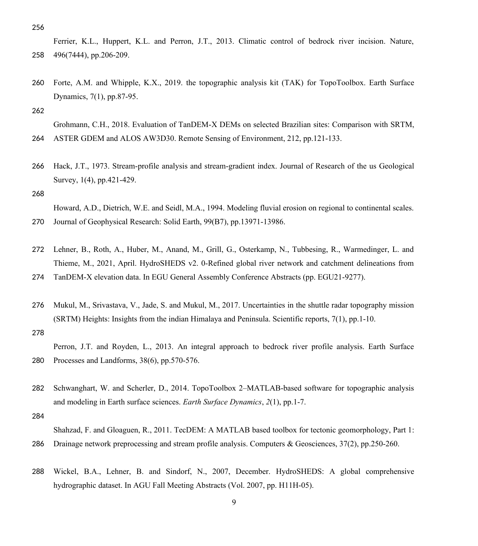256

Ferrier, K.L., Huppert, K.L. and Perron, J.T., 2013. Climatic control of bedrock river incision. Nature, 496(7444), pp.206-209. 258

Forte, A.M. and Whipple, K.X., 2019. the topographic analysis kit (TAK) for TopoToolbox. Earth Surface Dynamics, 7(1), pp.87-95. 260

262

Grohmann, C.H., 2018. Evaluation of TanDEM-X DEMs on selected Brazilian sites: Comparison with SRTM, ASTER GDEM and ALOS AW3D30. Remote Sensing of Environment, 212, pp.121-133. 264

Hack, J.T., 1973. Stream-profile analysis and stream-gradient index. Journal of Research of the us Geological Survey, 1(4), pp.421-429. 266

268

270

Howard, A.D., Dietrich, W.E. and Seidl, M.A., 1994. Modeling fluvial erosion on regional to continental scales. Journal of Geophysical Research: Solid Earth, 99(B7), pp.13971-13986.

- 272 Lehner, B., Roth, A., Huber, M., Anand, M., Grill, G., Osterkamp, N., Tubbesing, R., Warmedinger, L. and Thieme, M., 2021, April. HydroSHEDS v2. 0-Refined global river network and catchment delineations from
- TanDEM-X elevation data. In EGU General Assembly Conference Abstracts (pp. EGU21-9277). 274
- Mukul, M., Srivastava, V., Jade, S. and Mukul, M., 2017. Uncertainties in the shuttle radar topography mission (SRTM) Heights: Insights from the indian Himalaya and Peninsula. Scientific reports, 7(1), pp.1-10. 276

278

Perron, J.T. and Royden, L., 2013. An integral approach to bedrock river profile analysis. Earth Surface Processes and Landforms, 38(6), pp.570-576. 280

- Schwanghart, W. and Scherler, D., 2014. TopoToolbox 2–MATLAB-based software for topographic analysis and modeling in Earth surface sciences. *Earth Surface Dynamics*, *2*(1), pp.1-7. 282
- 284

Shahzad, F. and Gloaguen, R., 2011. TecDEM: A MATLAB based toolbox for tectonic geomorphology, Part 1: Drainage network preprocessing and stream profile analysis. Computers & Geosciences, 37(2), pp.250-260. 286

Wickel, B.A., Lehner, B. and Sindorf, N., 2007, December. HydroSHEDS: A global comprehensive hydrographic dataset. In AGU Fall Meeting Abstracts (Vol. 2007, pp. H11H-05). 288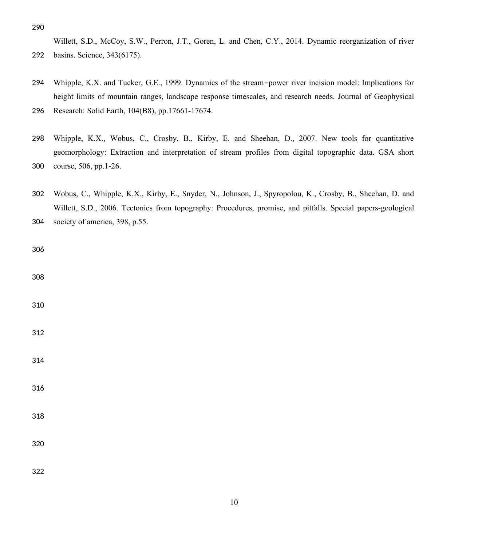Willett, S.D., McCoy, S.W., Perron, J.T., Goren, L. and Chen, C.Y., 2014. Dynamic reorganization of river basins. Science, 343(6175). 

Whipple, K.X. and Tucker, G.E., 1999. Dynamics of the stream-power river incision model: Implications for height limits of mountain ranges, landscape response timescales, and research needs. Journal of Geophysical 

Research: Solid Earth, 104(B8), pp.17661-17674. 

- Whipple, K.X., Wobus, C., Crosby, B., Kirby, E. and Sheehan, D., 2007. New tools for quantitative geomorphology: Extraction and interpretation of stream profiles from digital topographic data. GSA short course, 506, pp.1-26.
- Wobus, C., Whipple, K.X., Kirby, E., Snyder, N., Johnson, J., Spyropolou, K., Crosby, B., Sheehan, D. and Willett, S.D., 2006. Tectonics from topography: Procedures, promise, and pitfalls. Special papers-geological society of america, 398, p.55.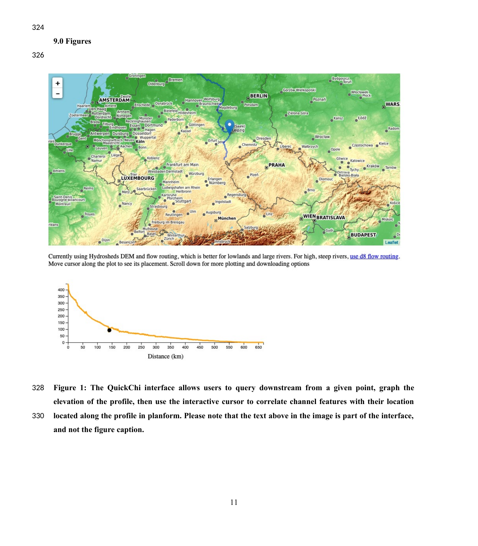## **9.0 Figures**



Currently using Hydrosheds DEM and flow routing, which is better for lowlands and large rivers. For high, steep rivers, use d8 flow routing. Move cursor along the plot to see its placement. Scroll down for more plotting and downloading options



- **Figure 1: The QuickChi interface allows users to query downstream from a given point, graph the elevation of the profile, then use the interactive cursor to correlate channel features with their location** 328
- **located along the profile in planform. Please note that the text above in the image is part of the interface, and not the figure caption.** 330